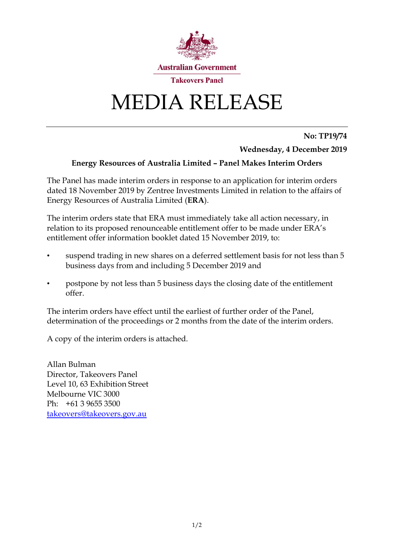

# MEDIA RELEASE

### **No: TP19/74**

**Wednesday, 4 December 2019**

## **Energy Resources of Australia Limited – Panel Makes Interim Orders**

The Panel has made interim orders in response to an application for interim orders dated 18 November 2019 by Zentree Investments Limited in relation to the affairs of Energy Resources of Australia Limited (**ERA**).

The interim orders state that ERA must immediately take all action necessary, in relation to its proposed renounceable entitlement offer to be made under ERA's entitlement offer information booklet dated 15 November 2019, to:

- suspend trading in new shares on a deferred settlement basis for not less than 5 business days from and including 5 December 2019 and
- postpone by not less than 5 business days the closing date of the entitlement offer.

The interim orders have effect until the earliest of further order of the Panel, determination of the proceedings or 2 months from the date of the interim orders.

A copy of the interim orders is attached.

Allan Bulman Director, Takeovers Panel Level 10, 63 Exhibition Street Melbourne VIC 3000 Ph: +61 3 9655 3500 [takeovers@takeovers.gov.au](mailto:takeovers@takeovers.gov.au)